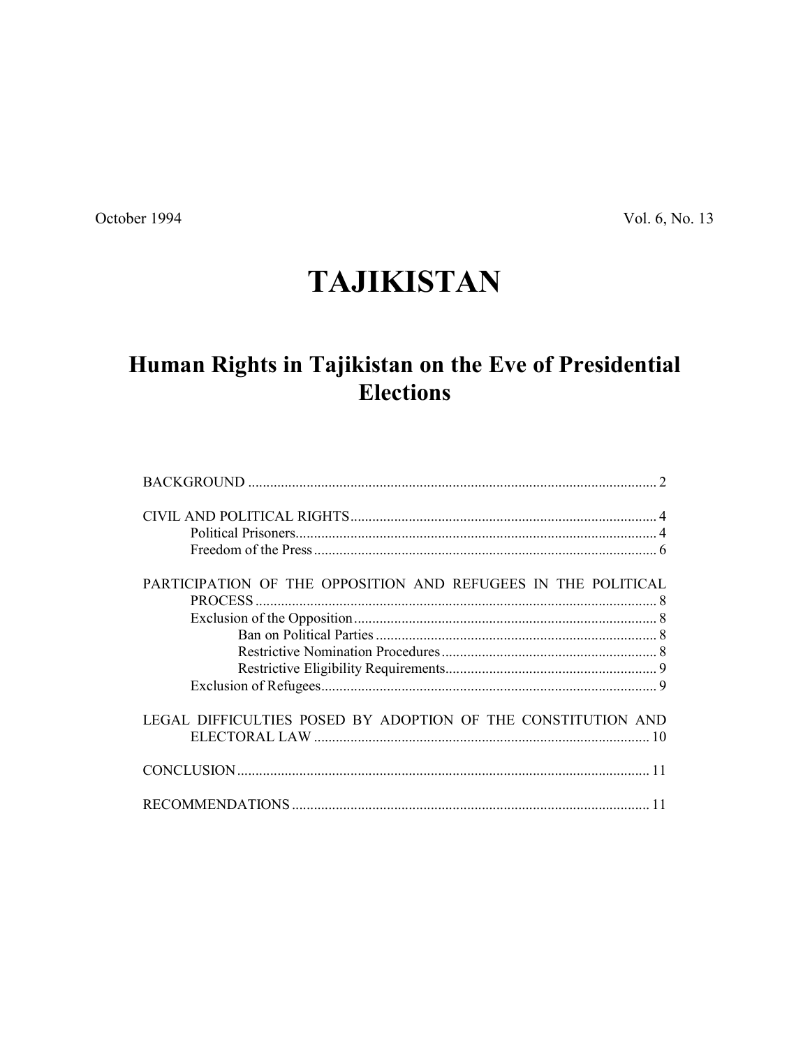October 1994

Vol. 6, No. 13

# **TAJIKISTAN**

# Human Rights in Tajikistan on the Eve of Presidential **Elections**

| PARTICIPATION OF THE OPPOSITION AND REFUGEES IN THE POLITICAL |  |
|---------------------------------------------------------------|--|
|                                                               |  |
|                                                               |  |
|                                                               |  |
|                                                               |  |
|                                                               |  |
|                                                               |  |
| LEGAL DIFFICULTIES POSED BY ADOPTION OF THE CONSTITUTION AND  |  |
|                                                               |  |
|                                                               |  |
|                                                               |  |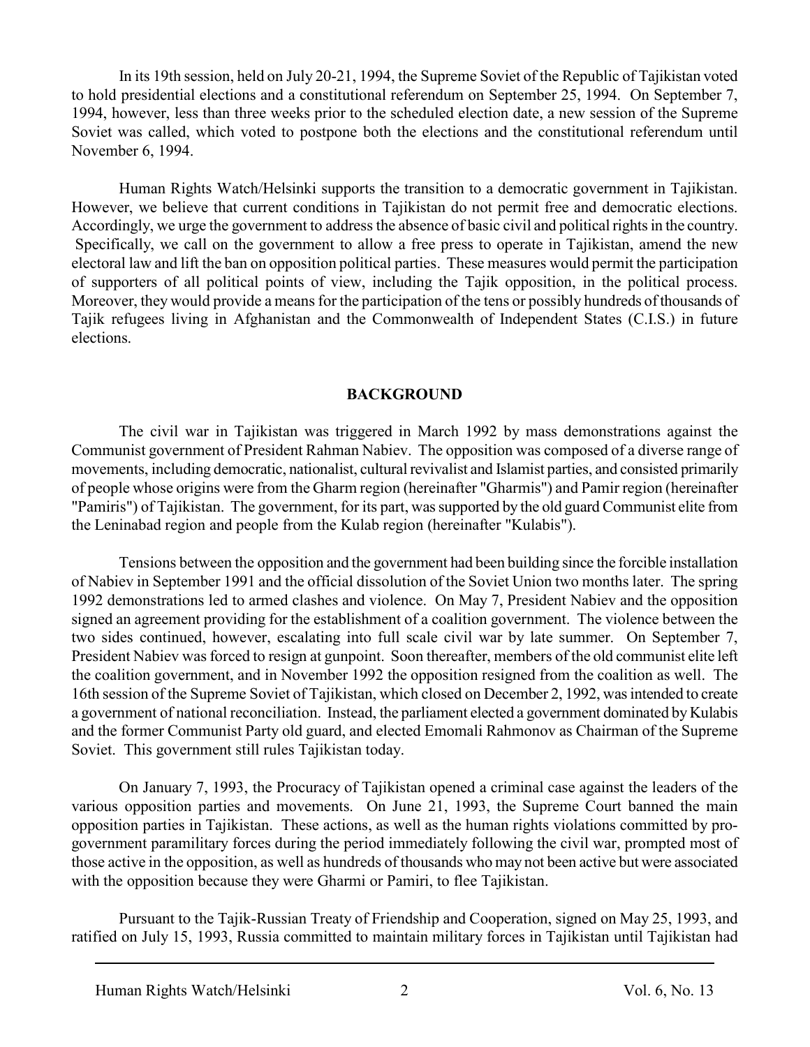In its 19th session, held on July 20-21, 1994, the Supreme Soviet of the Republic of Tajikistan voted to hold presidential elections and a constitutional referendum on September 25, 1994. On September 7, 1994, however, less than three weeks prior to the scheduled election date, a new session of the Supreme Soviet was called, which voted to postpone both the elections and the constitutional referendum until November 6, 1994.

Human Rights Watch/Helsinki supports the transition to a democratic government in Tajikistan. However, we believe that current conditions in Tajikistan do not permit free and democratic elections. Accordingly, we urge the government to address the absence of basic civil and political rights in the country. Specifically, we call on the government to allow a free press to operate in Tajikistan, amend the new electoral law and lift the ban on opposition political parties. These measures would permit the participation of supporters of all political points of view, including the Tajik opposition, in the political process. Moreover, they would provide a means for the participation of the tens or possibly hundreds of thousands of Tajik refugees living in Afghanistan and the Commonwealth of Independent States (C.I.S.) in future elections.

#### **BACKGROUND**

The civil war in Tajikistan was triggered in March 1992 by mass demonstrations against the Communist government of President Rahman Nabiev. The opposition was composed of a diverse range of movements, including democratic, nationalist, cultural revivalist and Islamist parties, and consisted primarily of people whose origins were from the Gharm region (hereinafter "Gharmis") and Pamir region (hereinafter "Pamiris") of Tajikistan. The government, for its part, was supported by the old guard Communist elite from the Leninabad region and people from the Kulab region (hereinafter "Kulabis").

Tensions between the opposition and the government had been building since the forcible installation of Nabiev in September 1991 and the official dissolution of the Soviet Union two months later. The spring 1992 demonstrations led to armed clashes and violence. On May 7, President Nabiev and the opposition signed an agreement providing for the establishment of a coalition government. The violence between the two sides continued, however, escalating into full scale civil war by late summer. On September 7, President Nabiev was forced to resign at gunpoint. Soon thereafter, members of the old communist elite left the coalition government, and in November 1992 the opposition resigned from the coalition as well. The 16th session of the Supreme Soviet of Tajikistan, which closed on December 2, 1992, was intended to create a government of national reconciliation. Instead, the parliament elected a government dominated by Kulabis and the former Communist Party old guard, and elected Emomali Rahmonov as Chairman of the Supreme Soviet. This government still rules Tajikistan today.

On January 7, 1993, the Procuracy of Tajikistan opened a criminal case against the leaders of the various opposition parties and movements. On June 21, 1993, the Supreme Court banned the main opposition parties in Tajikistan. These actions, as well as the human rights violations committed by progovernment paramilitary forces during the period immediately following the civil war, prompted most of those active in the opposition, as well as hundreds of thousands who may not been active but were associated with the opposition because they were Gharmi or Pamiri, to flee Tajikistan.

Pursuant to the Tajik-Russian Treaty of Friendship and Cooperation, signed on May 25, 1993, and ratified on July 15, 1993, Russia committed to maintain military forces in Tajikistan until Tajikistan had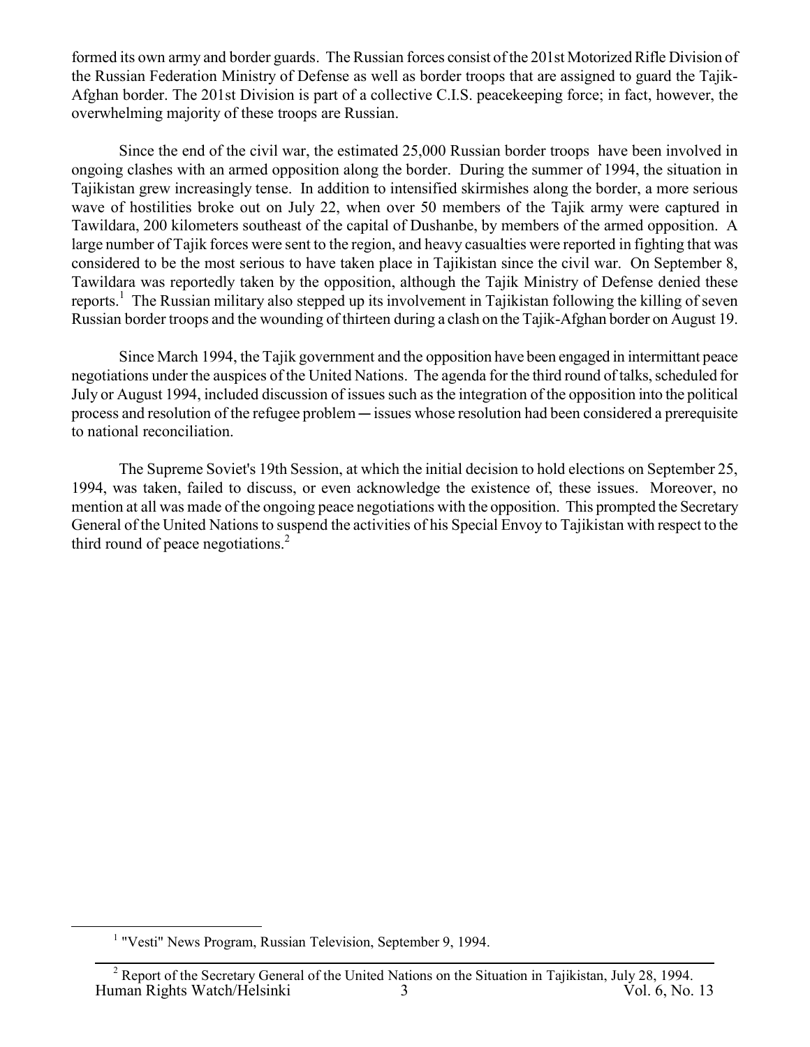formed its own army and border guards. The Russian forces consist of the 201st Motorized Rifle Division of the Russian Federation Ministry of Defense as well as border troops that are assigned to guard the Tajik-Afghan border. The 201st Division is part of a collective C.I.S. peacekeeping force; in fact, however, the overwhelming majority of these troops are Russian.

Since the end of the civil war, the estimated 25,000 Russian border troops have been involved in ongoing clashes with an armed opposition along the border. During the summer of 1994, the situation in Tajikistan grew increasingly tense. In addition to intensified skirmishes along the border, a more serious wave of hostilities broke out on July 22, when over 50 members of the Tajik army were captured in Tawildara, 200 kilometers southeast of the capital of Dushanbe, by members of the armed opposition. A large number of Tajik forces were sent to the region, and heavy casualties were reported in fighting that was considered to be the most serious to have taken place in Tajikistan since the civil war. On September 8, Tawildara was reportedly taken by the opposition, although the Tajik Ministry of Defense denied these reports.<sup>1</sup> The Russian military also stepped up its involvement in Tajikistan following the killing of seven Russian border troops and the wounding of thirteen during a clash on the Tajik-Afghan border on August 19.

Since March 1994, the Tajik government and the opposition have been engaged in intermittant peace negotiations under the auspices of the United Nations. The agenda for the third round of talks, scheduled for July or August 1994, included discussion of issues such as the integration of the opposition into the political process and resolution of the refugee problem — issues whose resolution had been considered a prerequisite to national reconciliation.

The Supreme Soviet's 19th Session, at which the initial decision to hold elections on September 25, 1994, was taken, failed to discuss, or even acknowledge the existence of, these issues. Moreover, no mention at all was made of the ongoing peace negotiations with the opposition. This prompted the Secretary General of the United Nations to suspend the activities of his Special Envoy to Tajikistan with respect to the third round of peace negotiations. $2$ 

 $\overline{a}$ 

<sup>&</sup>lt;sup>1</sup> "Vesti" News Program, Russian Television, September 9, 1994.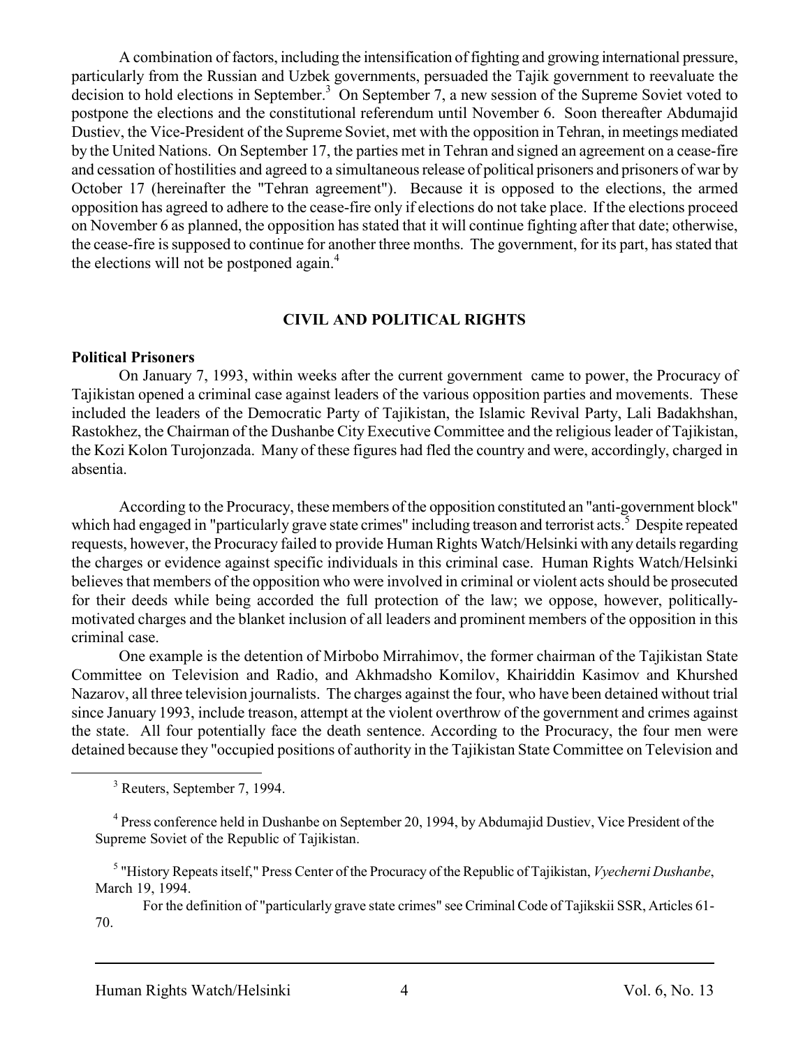A combination of factors, including the intensification of fighting and growing international pressure, particularly from the Russian and Uzbek governments, persuaded the Tajik government to reevaluate the decision to hold elections in September.<sup>3</sup> On September 7, a new session of the Supreme Soviet voted to postpone the elections and the constitutional referendum until November 6. Soon thereafter Abdumajid Dustiev, the Vice-President of the Supreme Soviet, met with the opposition in Tehran, in meetings mediated by the United Nations. On September 17, the parties met in Tehran and signed an agreement on a cease-fire and cessation of hostilities and agreed to a simultaneous release of political prisoners and prisoners of war by October 17 (hereinafter the "Tehran agreement"). Because it is opposed to the elections, the armed opposition has agreed to adhere to the cease-fire only if elections do not take place. If the elections proceed on November 6 as planned, the opposition has stated that it will continue fighting after that date; otherwise, the cease-fire is supposed to continue for another three months. The government, for its part, has stated that the elections will not be postponed again.<sup>4</sup>

#### **CIVIL AND POLITICAL RIGHTS**

#### **Political Prisoners**

On January 7, 1993, within weeks after the current government came to power, the Procuracy of Tajikistan opened a criminal case against leaders of the various opposition parties and movements. These included the leaders of the Democratic Party of Tajikistan, the Islamic Revival Party, Lali Badakhshan, Rastokhez, the Chairman of the Dushanbe City Executive Committee and the religious leader of Tajikistan, the Kozi Kolon Turojonzada. Many of these figures had fled the country and were, accordingly, charged in absentia.

According to the Procuracy, these members of the opposition constituted an "anti-government block" which had engaged in "particularly grave state crimes" including treason and terrorist acts.<sup>5</sup> Despite repeated requests, however, the Procuracy failed to provide Human Rights Watch/Helsinki with any details regarding the charges or evidence against specific individuals in this criminal case. Human Rights Watch/Helsinki believes that members of the opposition who were involved in criminal or violent acts should be prosecuted for their deeds while being accorded the full protection of the law; we oppose, however, politicallymotivated charges and the blanket inclusion of all leaders and prominent members of the opposition in this criminal case.

One example is the detention of Mirbobo Mirrahimov, the former chairman of the Tajikistan State Committee on Television and Radio, and Akhmadsho Komilov, Khairiddin Kasimov and Khurshed Nazarov, all three television journalists. The charges against the four, who have been detained without trial since January 1993, include treason, attempt at the violent overthrow of the government and crimes against the state. All four potentially face the death sentence. According to the Procuracy, the four men were detained because they "occupied positions of authority in the Tajikistan State Committee on Television and

 $\overline{\phantom{0}}$ 

For the definition of "particularly grave state crimes" see Criminal Code of Tajikskii SSR, Articles 61- 70.

 $3$  Reuters, September 7, 1994.

<sup>&</sup>lt;sup>4</sup> Press conference held in Dushanbe on September 20, 1994, by Abdumajid Dustiev, Vice President of the Supreme Soviet of the Republic of Tajikistan.

<sup>5</sup> "History Repeats itself," Press Center of the Procuracy of the Republic of Tajikistan, *Vyecherni Dushanbe*, March 19, 1994.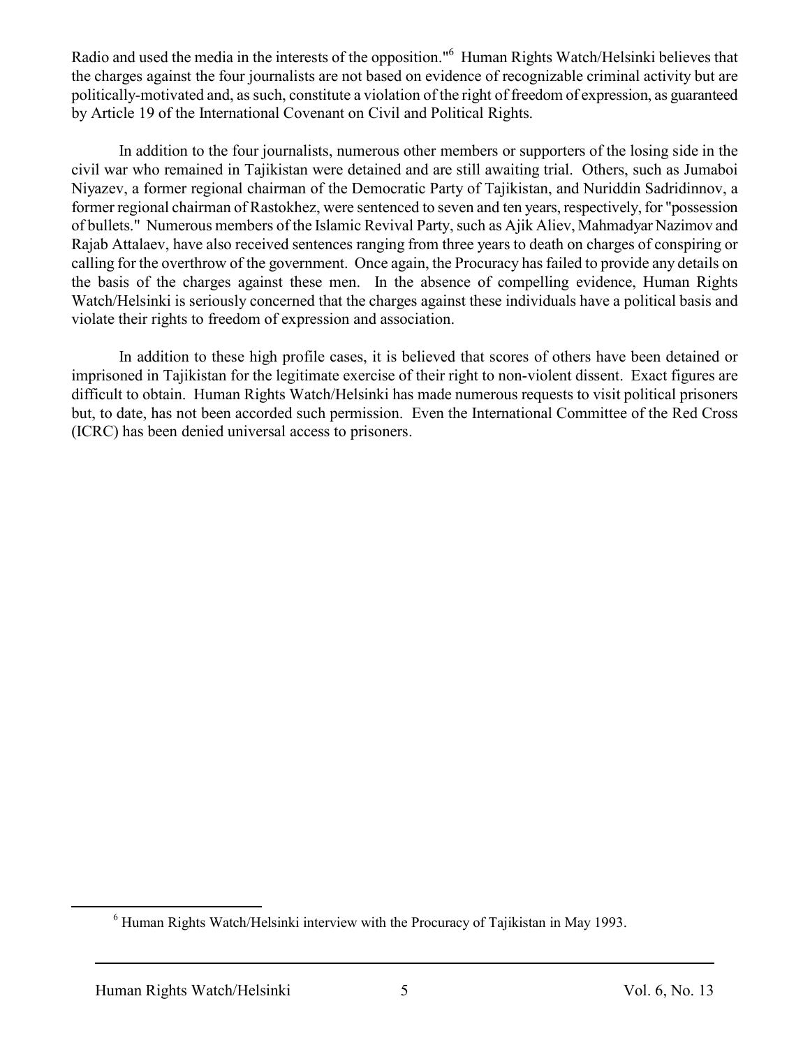Radio and used the media in the interests of the opposition." Human Rights Watch/Helsinki believes that the charges against the four journalists are not based on evidence of recognizable criminal activity but are politically-motivated and, as such, constitute a violation of the right of freedom of expression, as guaranteed by Article 19 of the International Covenant on Civil and Political Rights.

In addition to the four journalists, numerous other members or supporters of the losing side in the civil war who remained in Tajikistan were detained and are still awaiting trial. Others, such as Jumaboi Niyazev, a former regional chairman of the Democratic Party of Tajikistan, and Nuriddin Sadridinnov, a former regional chairman of Rastokhez, were sentenced to seven and ten years, respectively, for "possession of bullets." Numerous members of the Islamic Revival Party, such as Ajik Aliev, Mahmadyar Nazimov and Rajab Attalaev, have also received sentences ranging from three years to death on charges of conspiring or calling for the overthrow of the government. Once again, the Procuracy has failed to provide any details on the basis of the charges against these men. In the absence of compelling evidence, Human Rights Watch/Helsinki is seriously concerned that the charges against these individuals have a political basis and violate their rights to freedom of expression and association.

In addition to these high profile cases, it is believed that scores of others have been detained or imprisoned in Tajikistan for the legitimate exercise of their right to non-violent dissent. Exact figures are difficult to obtain. Human Rights Watch/Helsinki has made numerous requests to visit political prisoners but, to date, has not been accorded such permission. Even the International Committee of the Red Cross (ICRC) has been denied universal access to prisoners.

<sup>&</sup>lt;sup>6</sup> Human Rights Watch/Helsinki interview with the Procuracy of Tajikistan in May 1993.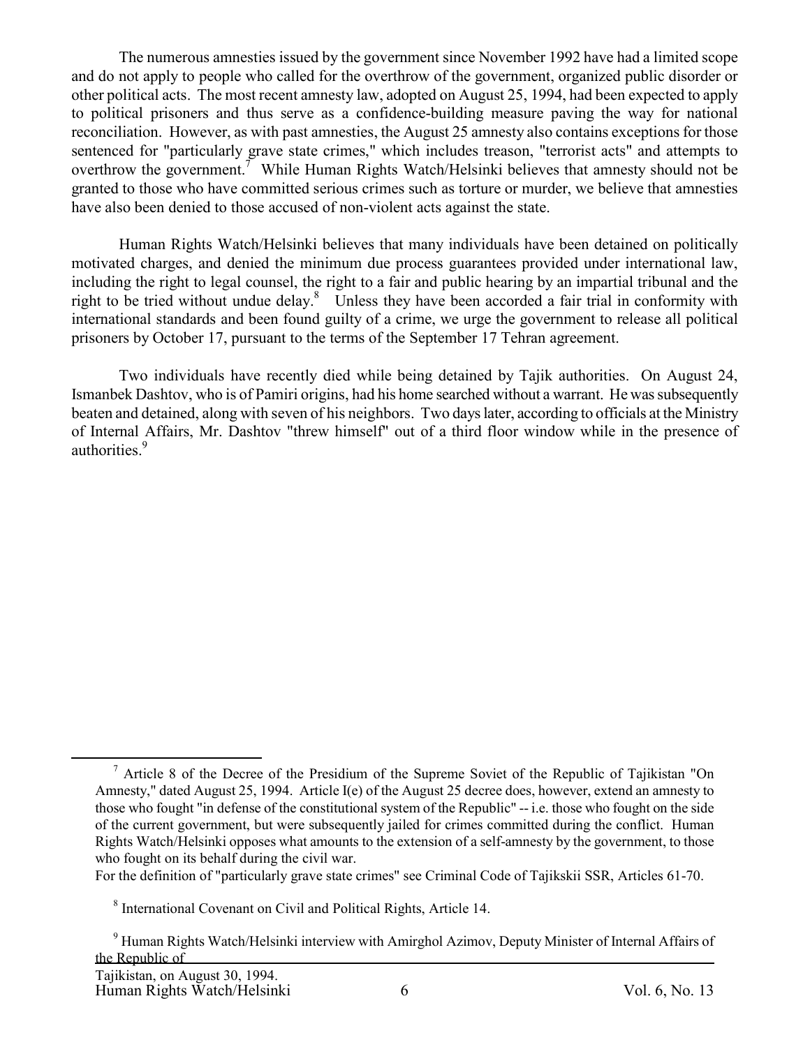The numerous amnesties issued by the government since November 1992 have had a limited scope and do not apply to people who called for the overthrow of the government, organized public disorder or other political acts. The most recent amnesty law, adopted on August 25, 1994, had been expected to apply to political prisoners and thus serve as a confidence-building measure paving the way for national reconciliation. However, as with past amnesties, the August 25 amnesty also contains exceptions for those sentenced for "particularly grave state crimes," which includes treason, "terrorist acts" and attempts to overthrow the government.<sup>7</sup> While Human Rights Watch/Helsinki believes that amnesty should not be granted to those who have committed serious crimes such as torture or murder, we believe that amnesties have also been denied to those accused of non-violent acts against the state.

Human Rights Watch/Helsinki believes that many individuals have been detained on politically motivated charges, and denied the minimum due process guarantees provided under international law, including the right to legal counsel, the right to a fair and public hearing by an impartial tribunal and the right to be tried without undue delay.<sup>8</sup> Unless they have been accorded a fair trial in conformity with international standards and been found guilty of a crime, we urge the government to release all political prisoners by October 17, pursuant to the terms of the September 17 Tehran agreement.

Two individuals have recently died while being detained by Tajik authorities. On August 24, Ismanbek Dashtov, who is of Pamiri origins, had his home searched without a warrant. He was subsequently beaten and detained, along with seven of his neighbors. Two days later, according to officials at the Ministry of Internal Affairs, Mr. Dashtov "threw himself" out of a third floor window while in the presence of authorities.<sup>9</sup>

 $7$  Article 8 of the Decree of the Presidium of the Supreme Soviet of the Republic of Tajikistan "On Amnesty," dated August 25, 1994. Article I(e) of the August 25 decree does, however, extend an amnesty to those who fought "in defense of the constitutional system of the Republic" -- i.e. those who fought on the side of the current government, but were subsequently jailed for crimes committed during the conflict. Human Rights Watch/Helsinki opposes what amounts to the extension of a self-amnesty by the government, to those who fought on its behalf during the civil war.

For the definition of "particularly grave state crimes" see Criminal Code of Tajikskii SSR, Articles 61-70.

<sup>8</sup> International Covenant on Civil and Political Rights, Article 14.

<sup>&</sup>lt;sup>9</sup> Human Rights Watch/Helsinki interview with Amirghol Azimov, Deputy Minister of Internal Affairs of the Republic of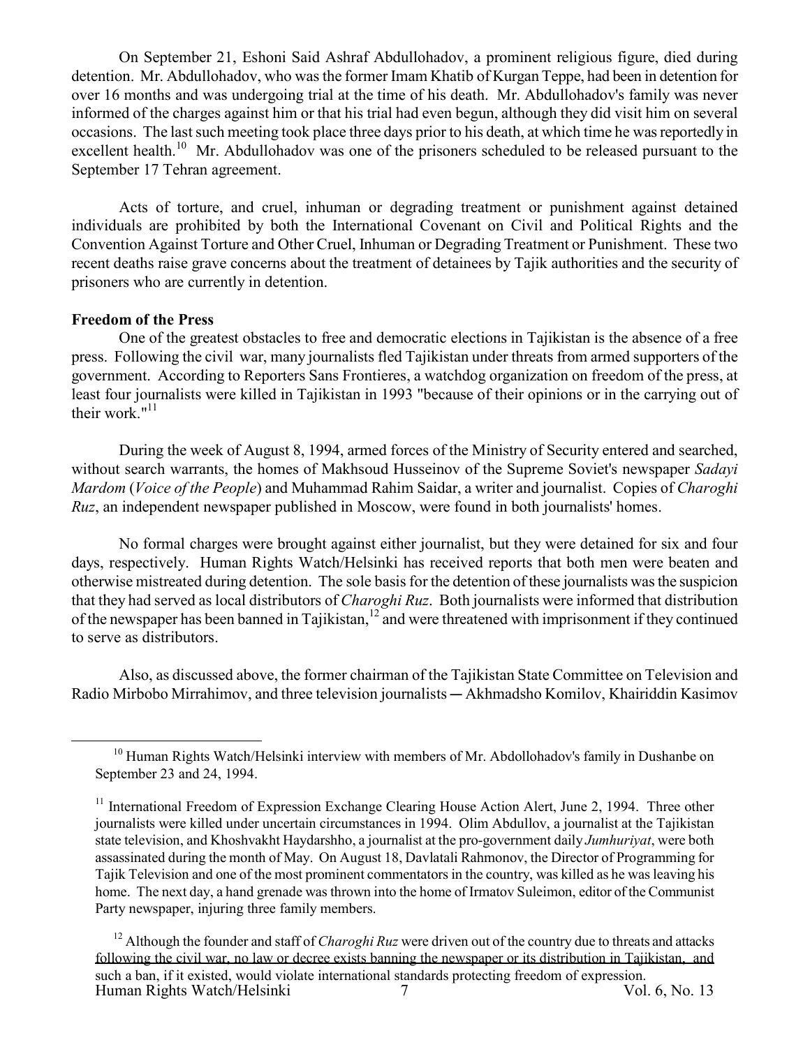On September 21, Eshoni Said Ashraf Abdullohadov, a prominent religious figure, died during detention. Mr. Abdullohadov, who was the former Imam Khatib of Kurgan Teppe, had been in detention for over 16 months and was undergoing trial at the time of his death. Mr. Abdullohadov's family was never informed of the charges against him or that his trial had even begun, although they did visit him on several occasions. The last such meeting took place three days prior to his death, at which time he was reportedly in excellent health.<sup>10</sup> Mr. Abdullohadov was one of the prisoners scheduled to be released pursuant to the September 17 Tehran agreement.

Acts of torture, and cruel, inhuman or degrading treatment or punishment against detained individuals are prohibited by both the International Covenant on Civil and Political Rights and the Convention Against Torture and Other Cruel, Inhuman or Degrading Treatment or Punishment. These two recent deaths raise grave concerns about the treatment of detainees by Tajik authorities and the security of prisoners who are currently in detention.

#### **Freedom of the Press**

 $\overline{\phantom{0}}$ 

One of the greatest obstacles to free and democratic elections in Tajikistan is the absence of a free press. Following the civil war, many journalists fled Tajikistan under threats from armed supporters of the government. According to Reporters Sans Frontieres, a watchdog organization on freedom of the press, at least four journalists were killed in Tajikistan in 1993 "because of their opinions or in the carrying out of their work."<sup>11</sup>

During the week of August 8, 1994, armed forces of the Ministry of Security entered and searched, without search warrants, the homes of Makhsoud Husseinov of the Supreme Soviet's newspaper *Sadayi Mardom* (*Voice of the People*) and Muhammad Rahim Saidar, a writer and journalist. Copies of *Charoghi Ruz*, an independent newspaper published in Moscow, were found in both journalists' homes.

No formal charges were brought against either journalist, but they were detained for six and four days, respectively. Human Rights Watch/Helsinki has received reports that both men were beaten and otherwise mistreated during detention. The sole basis for the detention of these journalists was the suspicion that they had served as local distributors of *Charoghi Ruz*. Both journalists were informed that distribution of the newspaper has been banned in Tajikistan, $12$  and were threatened with imprisonment if they continued to serve as distributors.

Also, as discussed above, the former chairman of the Tajikistan State Committee on Television and Radio Mirbobo Mirrahimov, and three television journalists — Akhmadsho Komilov, Khairiddin Kasimov

<sup>&</sup>lt;sup>10</sup> Human Rights Watch/Helsinki interview with members of Mr. Abdollohadov's family in Dushanbe on September 23 and 24, 1994.

<sup>&</sup>lt;sup>11</sup> International Freedom of Expression Exchange Clearing House Action Alert, June 2, 1994. Three other journalists were killed under uncertain circumstances in 1994. Olim Abdullov, a journalist at the Tajikistan state television, and Khoshvakht Haydarshho, a journalist at the pro-government daily *Jumhuriyat*, were both assassinated during the month of May. On August 18, Davlatali Rahmonov, the Director of Programming for Tajik Television and one of the most prominent commentators in the country, was killed as he was leaving his home. The next day, a hand grenade was thrown into the home of Irmatov Suleimon, editor of the Communist Party newspaper, injuring three family members.

Human Rights Watch/Helsinki 7 7 1 Vol. 6, No. 13 <sup>12</sup> Although the founder and staff of *Charoghi Ruz* were driven out of the country due to threats and attacks following the civil war, no law or decree exists banning the newspaper or its distribution in Tajikistan, and such a ban, if it existed, would violate international standards protecting freedom of expression.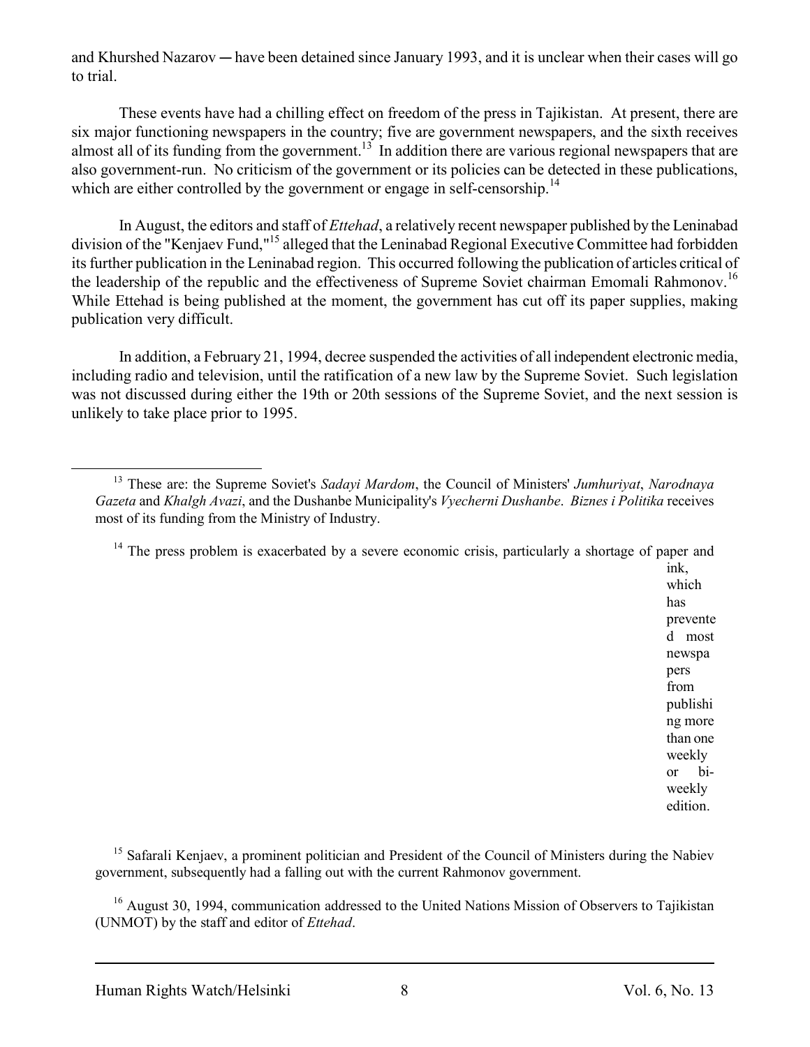and Khurshed Nazarov — have been detained since January 1993, and it is unclear when their cases will go to trial.

These events have had a chilling effect on freedom of the press in Tajikistan. At present, there are six major functioning newspapers in the country; five are government newspapers, and the sixth receives almost all of its funding from the government.<sup>13</sup> In addition there are various regional newspapers that are also government-run. No criticism of the government or its policies can be detected in these publications, which are either controlled by the government or engage in self-censorship.<sup>14</sup>

In August, the editors and staff of *Ettehad*, a relatively recent newspaper published by the Leninabad division of the "Kenjaev Fund,"<sup>15</sup> alleged that the Leninabad Regional Executive Committee had forbidden its further publication in the Leninabad region. This occurred following the publication of articles critical of the leadership of the republic and the effectiveness of Supreme Soviet chairman Emomali Rahmonov.<sup>16</sup> While Ettehad is being published at the moment, the government has cut off its paper supplies, making publication very difficult.

In addition, a February 21, 1994, decree suspended the activities of all independent electronic media, including radio and television, until the ratification of a new law by the Supreme Soviet. Such legislation was not discussed during either the 19th or 20th sessions of the Supreme Soviet, and the next session is unlikely to take place prior to 1995.

ink, which has prevente d most newspa pers from publishi ng more than one weekly or biweekly edition.

<sup>15</sup> Safarali Kenjaev, a prominent politician and President of the Council of Ministers during the Nabiev government, subsequently had a falling out with the current Rahmonov government.

<sup>16</sup> August 30, 1994, communication addressed to the United Nations Mission of Observers to Tajikistan (UNMOT) by the staff and editor of *Ettehad*.

 $\overline{a}$ 

<sup>13</sup> These are: the Supreme Soviet's *Sadayi Mardom*, the Council of Ministers' *Jumhuriyat*, *Narodnaya Gazeta* and *Khalgh Avazi*, and the Dushanbe Municipality's *Vyecherni Dushanbe*. *Biznes i Politika* receives most of its funding from the Ministry of Industry.

<sup>&</sup>lt;sup>14</sup> The press problem is exacerbated by a severe economic crisis, particularly a shortage of paper and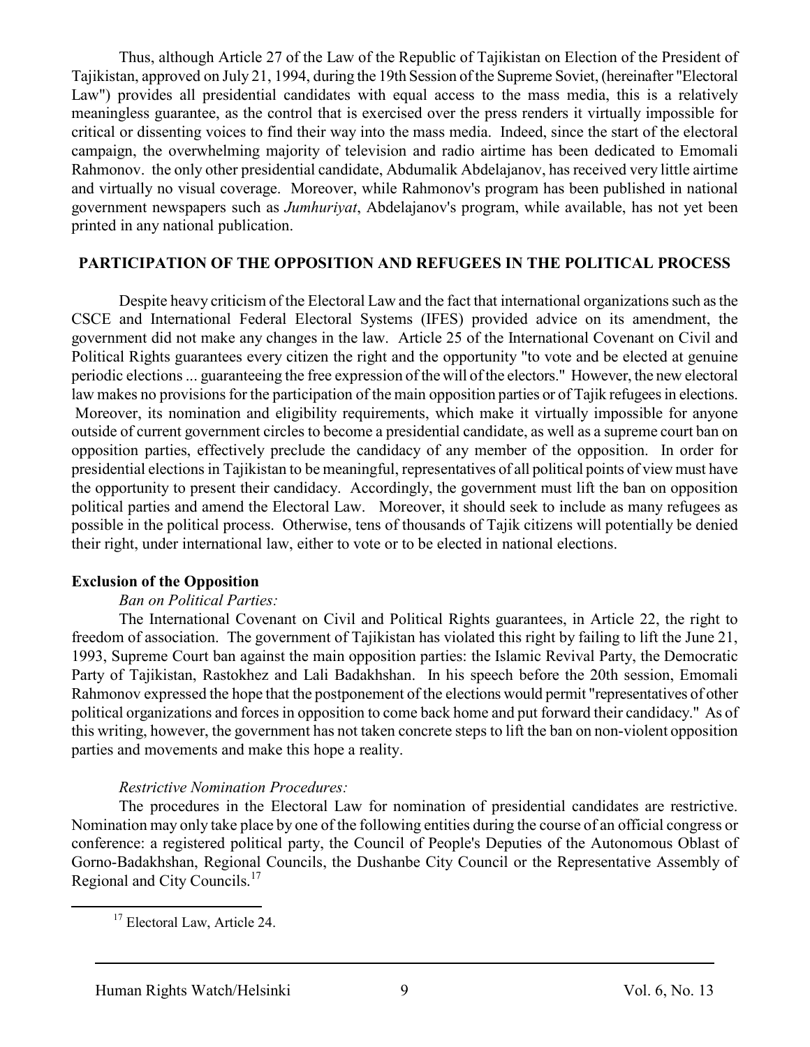Thus, although Article 27 of the Law of the Republic of Tajikistan on Election of the President of Tajikistan, approved on July 21, 1994, during the 19th Session of the Supreme Soviet, (hereinafter "Electoral Law") provides all presidential candidates with equal access to the mass media, this is a relatively meaningless guarantee, as the control that is exercised over the press renders it virtually impossible for critical or dissenting voices to find their way into the mass media. Indeed, since the start of the electoral campaign, the overwhelming majority of television and radio airtime has been dedicated to Emomali Rahmonov. the only other presidential candidate, Abdumalik Abdelajanov, has received very little airtime and virtually no visual coverage. Moreover, while Rahmonov's program has been published in national government newspapers such as *Jumhuriyat*, Abdelajanov's program, while available, has not yet been printed in any national publication.

#### **PARTICIPATION OF THE OPPOSITION AND REFUGEES IN THE POLITICAL PROCESS**

Despite heavy criticism of the Electoral Law and the fact that international organizations such as the CSCE and International Federal Electoral Systems (IFES) provided advice on its amendment, the government did not make any changes in the law. Article 25 of the International Covenant on Civil and Political Rights guarantees every citizen the right and the opportunity "to vote and be elected at genuine periodic elections ... guaranteeing the free expression of the will of the electors." However, the new electoral law makes no provisions for the participation of the main opposition parties or of Tajik refugees in elections. Moreover, its nomination and eligibility requirements, which make it virtually impossible for anyone outside of current government circles to become a presidential candidate, as well as a supreme court ban on opposition parties, effectively preclude the candidacy of any member of the opposition. In order for presidential elections in Tajikistan to be meaningful, representatives of all political points of view must have the opportunity to present their candidacy. Accordingly, the government must lift the ban on opposition political parties and amend the Electoral Law. Moreover, it should seek to include as many refugees as possible in the political process. Otherwise, tens of thousands of Tajik citizens will potentially be denied their right, under international law, either to vote or to be elected in national elections.

#### **Exclusion of the Opposition**

#### *Ban on Political Parties:*

The International Covenant on Civil and Political Rights guarantees, in Article 22, the right to freedom of association. The government of Tajikistan has violated this right by failing to lift the June 21, 1993, Supreme Court ban against the main opposition parties: the Islamic Revival Party, the Democratic Party of Tajikistan, Rastokhez and Lali Badakhshan. In his speech before the 20th session, Emomali Rahmonov expressed the hope that the postponement of the elections would permit "representatives of other political organizations and forces in opposition to come back home and put forward their candidacy." As of this writing, however, the government has not taken concrete steps to lift the ban on non-violent opposition parties and movements and make this hope a reality.

#### *Restrictive Nomination Procedures:*

The procedures in the Electoral Law for nomination of presidential candidates are restrictive. Nomination may only take place by one of the following entities during the course of an official congress or conference: a registered political party, the Council of People's Deputies of the Autonomous Oblast of Gorno-Badakhshan, Regional Councils, the Dushanbe City Council or the Representative Assembly of Regional and City Councils.<sup>17</sup>

<sup>&</sup>lt;sup>17</sup> Electoral Law, Article 24.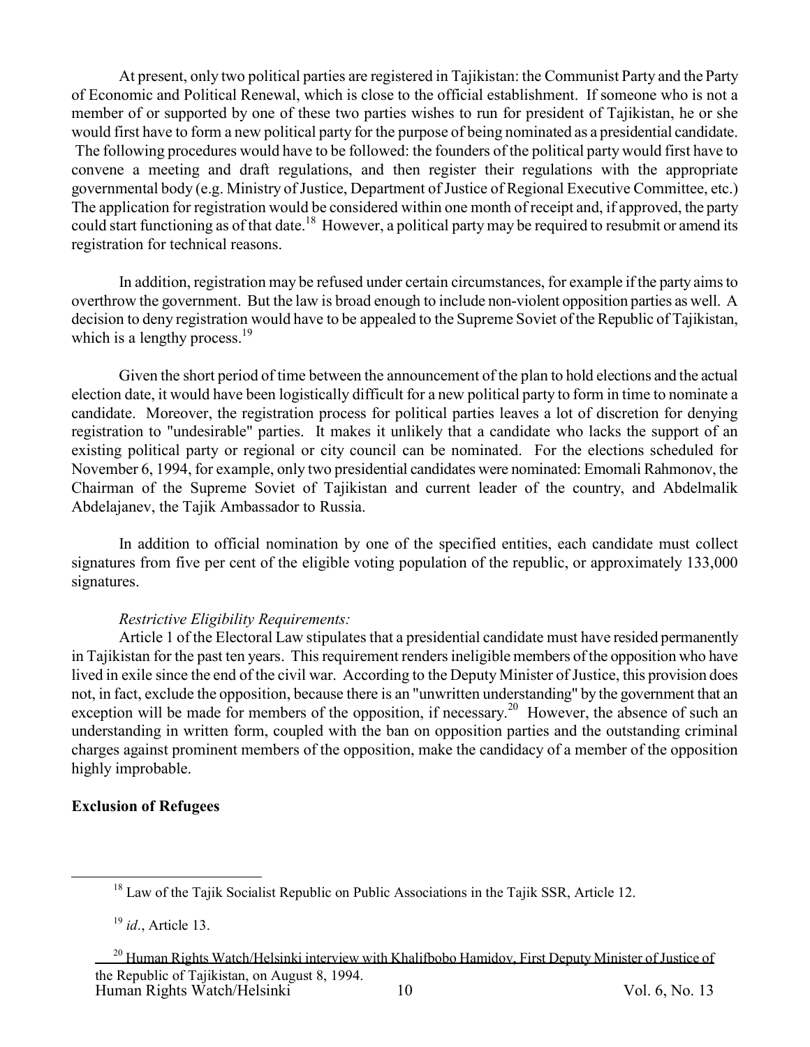At present, only two political parties are registered in Tajikistan: the Communist Party and the Party of Economic and Political Renewal, which is close to the official establishment. If someone who is not a member of or supported by one of these two parties wishes to run for president of Tajikistan, he or she would first have to form a new political party for the purpose of being nominated as a presidential candidate. The following procedures would have to be followed: the founders of the political party would first have to convene a meeting and draft regulations, and then register their regulations with the appropriate governmental body (e.g. Ministry of Justice, Department of Justice of Regional Executive Committee, etc.) The application for registration would be considered within one month of receipt and, if approved, the party could start functioning as of that date.<sup>18</sup> However, a political party may be required to resubmit or amend its registration for technical reasons.

In addition, registration may be refused under certain circumstances, for example if the party aims to overthrow the government. But the law is broad enough to include non-violent opposition parties as well. A decision to deny registration would have to be appealed to the Supreme Soviet of the Republic of Tajikistan, which is a lengthy process.<sup>19</sup>

Given the short period of time between the announcement of the plan to hold elections and the actual election date, it would have been logistically difficult for a new political party to form in time to nominate a candidate. Moreover, the registration process for political parties leaves a lot of discretion for denying registration to "undesirable" parties. It makes it unlikely that a candidate who lacks the support of an existing political party or regional or city council can be nominated. For the elections scheduled for November 6, 1994, for example, only two presidential candidates were nominated: Emomali Rahmonov, the Chairman of the Supreme Soviet of Tajikistan and current leader of the country, and Abdelmalik Abdelajanev, the Tajik Ambassador to Russia.

In addition to official nomination by one of the specified entities, each candidate must collect signatures from five per cent of the eligible voting population of the republic, or approximately 133,000 signatures.

#### *Restrictive Eligibility Requirements:*

Article 1 of the Electoral Law stipulates that a presidential candidate must have resided permanently in Tajikistan for the past ten years. This requirement renders ineligible members of the opposition who have lived in exile since the end of the civil war. According to the Deputy Minister of Justice, this provision does not, in fact, exclude the opposition, because there is an "unwritten understanding" by the government that an exception will be made for members of the opposition, if necessary.<sup>20</sup> However, the absence of such an understanding in written form, coupled with the ban on opposition parties and the outstanding criminal charges against prominent members of the opposition, make the candidacy of a member of the opposition highly improbable.

#### **Exclusion of Refugees**

 $\overline{\phantom{0}}$ 

<sup>19</sup> *id*., Article 13.

<sup>&</sup>lt;sup>18</sup> Law of the Tajik Socialist Republic on Public Associations in the Tajik SSR, Article 12.

Human Rights Watch/Helsinki 10 Vol. 6, No. 13 ֦ <sup>20</sup> Human Rights Watch/Helsinki interview with Khalifbobo Hamidov, First Deputy Minister of Justice of the Republic of Tajikistan, on August 8, 1994.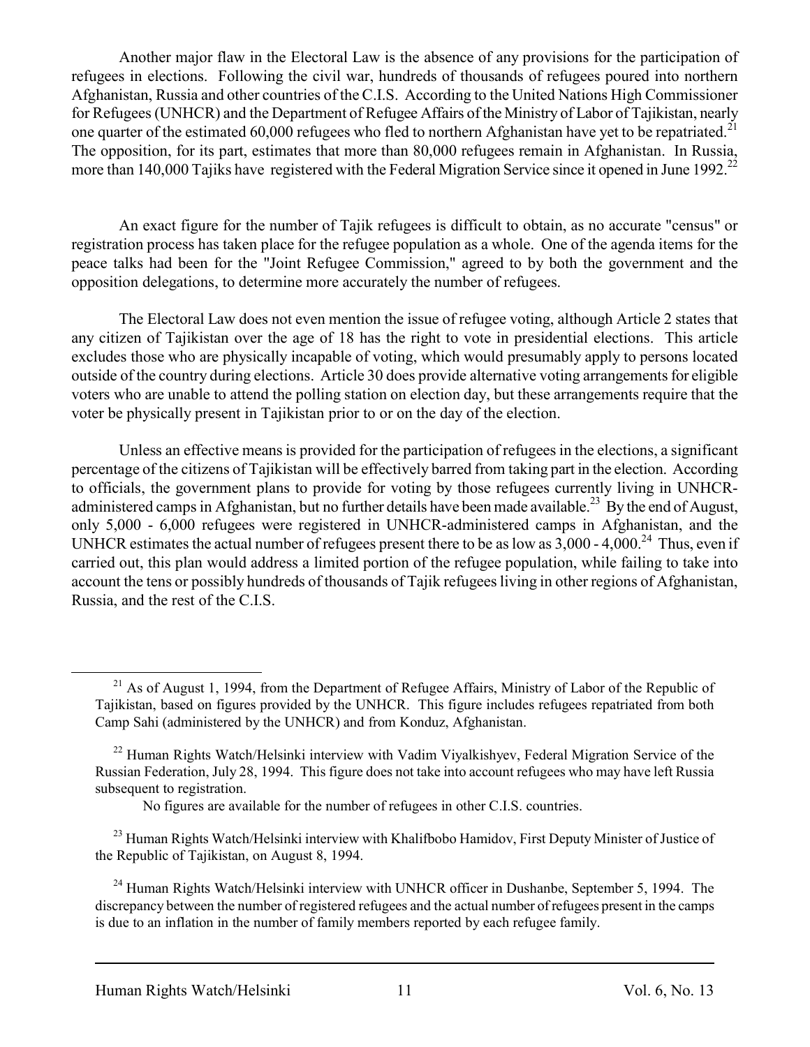Another major flaw in the Electoral Law is the absence of any provisions for the participation of refugees in elections. Following the civil war, hundreds of thousands of refugees poured into northern Afghanistan, Russia and other countries of the C.I.S. According to the United Nations High Commissioner for Refugees (UNHCR) and the Department of Refugee Affairs of the Ministry of Labor of Tajikistan, nearly one quarter of the estimated 60,000 refugees who fled to northern Afghanistan have yet to be repatriated.<sup>21</sup> The opposition, for its part, estimates that more than 80,000 refugees remain in Afghanistan. In Russia, more than 140,000 Tajiks have registered with the Federal Migration Service since it opened in June 1992.<sup>22</sup>

An exact figure for the number of Tajik refugees is difficult to obtain, as no accurate "census" or registration process has taken place for the refugee population as a whole. One of the agenda items for the peace talks had been for the "Joint Refugee Commission," agreed to by both the government and the opposition delegations, to determine more accurately the number of refugees.

The Electoral Law does not even mention the issue of refugee voting, although Article 2 states that any citizen of Tajikistan over the age of 18 has the right to vote in presidential elections. This article excludes those who are physically incapable of voting, which would presumably apply to persons located outside of the country during elections. Article 30 does provide alternative voting arrangements for eligible voters who are unable to attend the polling station on election day, but these arrangements require that the voter be physically present in Tajikistan prior to or on the day of the election.

Unless an effective means is provided for the participation of refugees in the elections, a significant percentage of the citizens of Tajikistan will be effectively barred from taking part in the election. According to officials, the government plans to provide for voting by those refugees currently living in UNHCRadministered camps in Afghanistan, but no further details have been made available.<sup>23</sup> By the end of August, only 5,000 - 6,000 refugees were registered in UNHCR-administered camps in Afghanistan, and the UNHCR estimates the actual number of refugees present there to be as low as  $3,000 - 4,000$ .<sup>24</sup> Thus, even if carried out, this plan would address a limited portion of the refugee population, while failing to take into account the tens or possibly hundreds of thousands of Tajik refugees living in other regions of Afghanistan, Russia, and the rest of the C.I.S.

 $\overline{a}$ 

 $21$  As of August 1, 1994, from the Department of Refugee Affairs, Ministry of Labor of the Republic of Tajikistan, based on figures provided by the UNHCR. This figure includes refugees repatriated from both Camp Sahi (administered by the UNHCR) and from Konduz, Afghanistan.

<sup>&</sup>lt;sup>22</sup> Human Rights Watch/Helsinki interview with Vadim Viyalkishyev, Federal Migration Service of the Russian Federation, July 28, 1994. This figure does not take into account refugees who may have left Russia subsequent to registration.

No figures are available for the number of refugees in other C.I.S. countries.

<sup>&</sup>lt;sup>23</sup> Human Rights Watch/Helsinki interview with Khalifbobo Hamidov, First Deputy Minister of Justice of the Republic of Tajikistan, on August 8, 1994.

 $^{24}$  Human Rights Watch/Helsinki interview with UNHCR officer in Dushanbe, September 5, 1994. The discrepancy between the number of registered refugees and the actual number of refugees present in the camps is due to an inflation in the number of family members reported by each refugee family.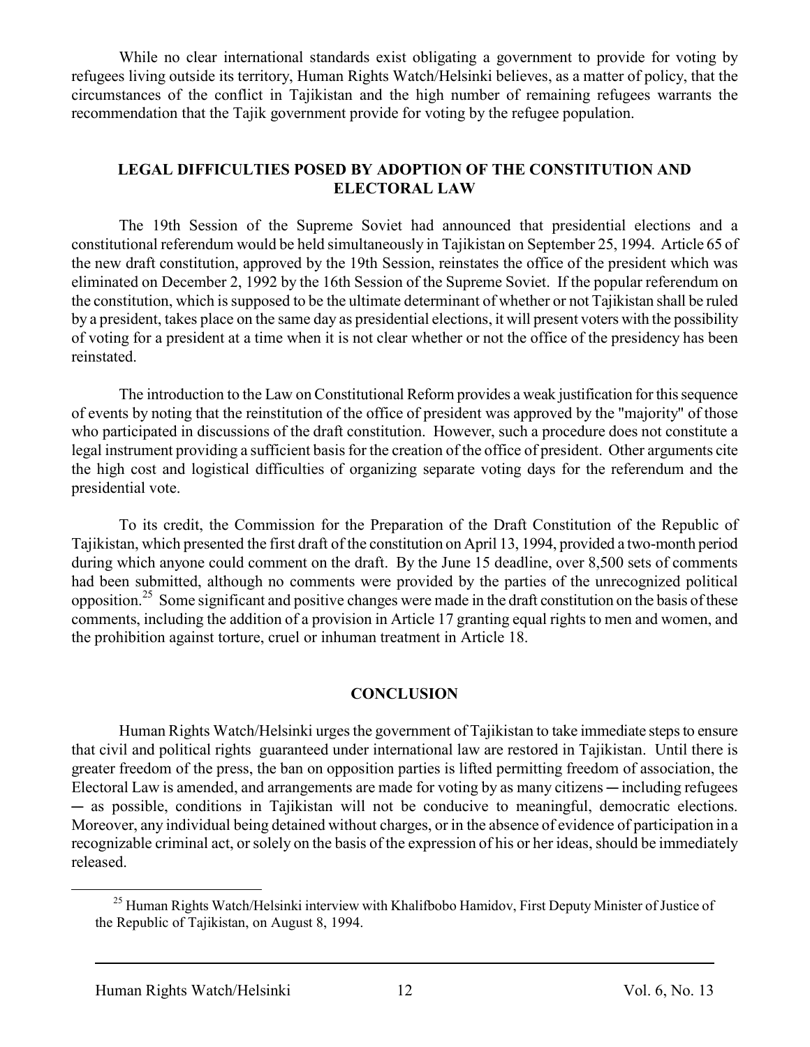While no clear international standards exist obligating a government to provide for voting by refugees living outside its territory, Human Rights Watch/Helsinki believes, as a matter of policy, that the circumstances of the conflict in Tajikistan and the high number of remaining refugees warrants the recommendation that the Tajik government provide for voting by the refugee population.

## **LEGAL DIFFICULTIES POSED BY ADOPTION OF THE CONSTITUTION AND ELECTORAL LAW**

The 19th Session of the Supreme Soviet had announced that presidential elections and a constitutional referendum would be held simultaneously in Tajikistan on September 25, 1994. Article 65 of the new draft constitution, approved by the 19th Session, reinstates the office of the president which was eliminated on December 2, 1992 by the 16th Session of the Supreme Soviet. If the popular referendum on the constitution, which is supposed to be the ultimate determinant of whether or not Tajikistan shall be ruled by a president, takes place on the same day as presidential elections, it will present voters with the possibility of voting for a president at a time when it is not clear whether or not the office of the presidency has been reinstated.

The introduction to the Law on Constitutional Reform provides a weak justification for this sequence of events by noting that the reinstitution of the office of president was approved by the "majority" of those who participated in discussions of the draft constitution. However, such a procedure does not constitute a legal instrument providing a sufficient basis for the creation of the office of president. Other arguments cite the high cost and logistical difficulties of organizing separate voting days for the referendum and the presidential vote.

To its credit, the Commission for the Preparation of the Draft Constitution of the Republic of Tajikistan, which presented the first draft of the constitution on April 13, 1994, provided a two-month period during which anyone could comment on the draft. By the June 15 deadline, over 8,500 sets of comments had been submitted, although no comments were provided by the parties of the unrecognized political opposition.<sup>25</sup> Some significant and positive changes were made in the draft constitution on the basis of these comments, including the addition of a provision in Article 17 granting equal rights to men and women, and the prohibition against torture, cruel or inhuman treatment in Article 18.

#### **CONCLUSION**

Human Rights Watch/Helsinki urges the government of Tajikistan to take immediate steps to ensure that civil and political rights guaranteed under international law are restored in Tajikistan. Until there is greater freedom of the press, the ban on opposition parties is lifted permitting freedom of association, the Electoral Law is amended, and arrangements are made for voting by as many citizens  $-$  including refugees  $-$  as possible, conditions in Tajikistan will not be conducive to meaningful, democratic elections. Moreover, any individual being detained without charges, or in the absence of evidence of participation in a recognizable criminal act, or solely on the basis of the expression of his or her ideas, should be immediately released.

<sup>&</sup>lt;sup>25</sup> Human Rights Watch/Helsinki interview with Khalifbobo Hamidov, First Deputy Minister of Justice of the Republic of Tajikistan, on August 8, 1994.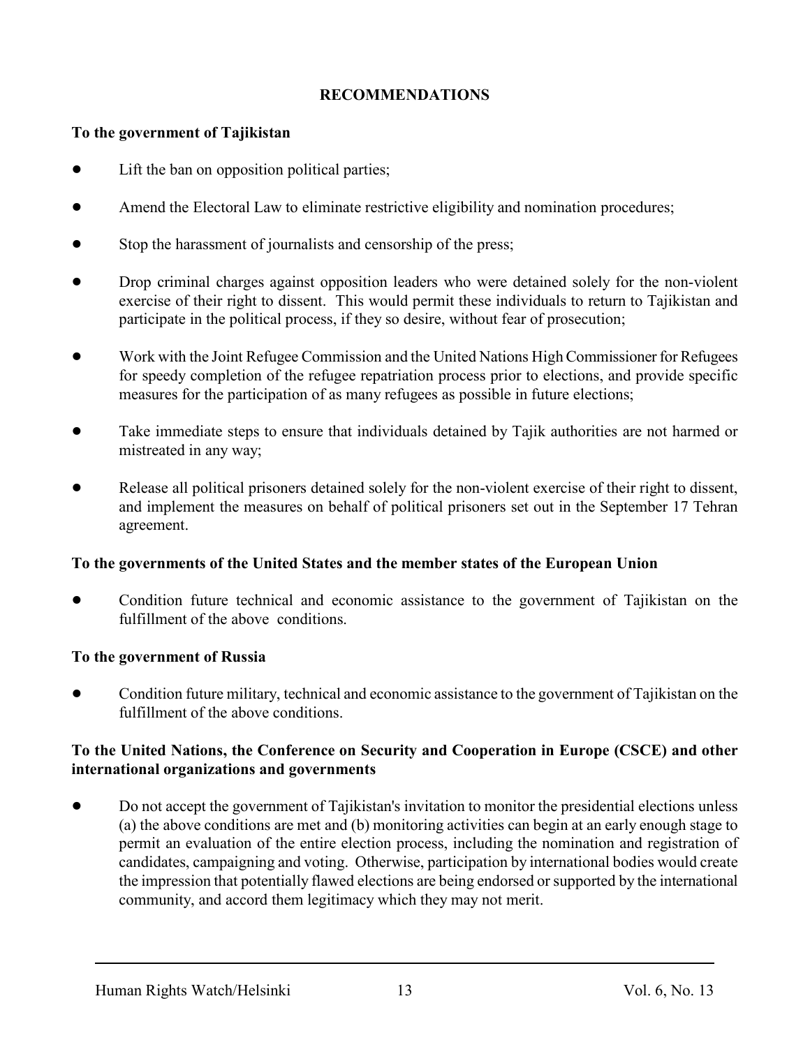# **RECOMMENDATIONS**

### **To the government of Tajikistan**

- Lift the ban on opposition political parties;
- Amend the Electoral Law to eliminate restrictive eligibility and nomination procedures;
- Stop the harassment of journalists and censorship of the press;
- ! Drop criminal charges against opposition leaders who were detained solely for the non-violent exercise of their right to dissent. This would permit these individuals to return to Tajikistan and participate in the political process, if they so desire, without fear of prosecution;
- ! Work with the Joint Refugee Commission and the United Nations High Commissioner for Refugees for speedy completion of the refugee repatriation process prior to elections, and provide specific measures for the participation of as many refugees as possible in future elections;
- Take immediate steps to ensure that individuals detained by Tajik authorities are not harmed or mistreated in any way;
- Release all political prisoners detained solely for the non-violent exercise of their right to dissent, and implement the measures on behalf of political prisoners set out in the September 17 Tehran agreement.

# **To the governments of the United States and the member states of the European Union**

• Condition future technical and economic assistance to the government of Tajikistan on the fulfillment of the above conditions.

# **To the government of Russia**

• Condition future military, technical and economic assistance to the government of Tajikistan on the fulfillment of the above conditions.

# **To the United Nations, the Conference on Security and Cooperation in Europe (CSCE) and other international organizations and governments**

! Do not accept the government of Tajikistan's invitation to monitor the presidential elections unless (a) the above conditions are met and (b) monitoring activities can begin at an early enough stage to permit an evaluation of the entire election process, including the nomination and registration of candidates, campaigning and voting. Otherwise, participation by international bodies would create the impression that potentially flawed elections are being endorsed or supported by the international community, and accord them legitimacy which they may not merit.